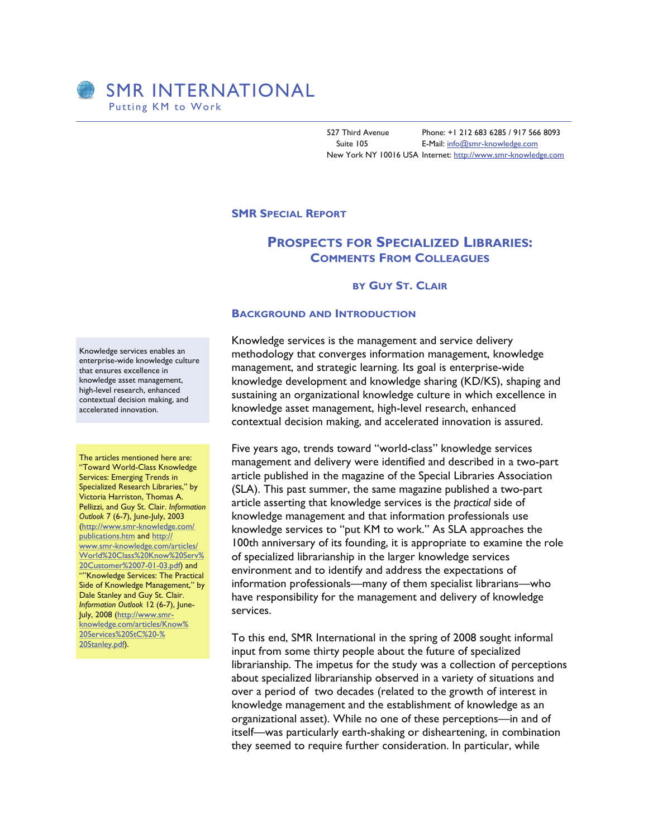527 Third Avenue Phone: +1 212 683 6285 / 917 566 8093 Suite 105 **E-Mail:** [info@smr-knowledge.com](mailto:guystclair@smr-knowledge.com) New York NY 10016 USA Internet: [http://www.smr-knowledge.com](http://www.smr-knowledge.com/)

### **SMR SPECIAL REPORT**

# **PROSPECTS FOR SPECIALIZED LIBRARIES: COMMENTS FROM COLLEAGUES**

### **BY GUY ST. CLAIR**

### **BACKGROUND AND INTRODUCTION**

Knowledge services enables an enterprise-wide knowledge culture that ensures excellence in knowledge asset management, high-level research, enhanced contextual decision making, and accelerated innovation.

The articles mentioned here are: "Toward World-Class Knowledge Services: Emerging Trends in Specialized Research Libraries," by Victoria Harriston, Thomas A. Pellizzi, and Guy St. Clair. *Information Outlook* 7 (6-7), June-July, 2003 ([http://www.smr-knowledge.com/](http://www.smr-knowledge.com/articles/World%20Class%20Know%20Serv%20Mgmt%2006-01-03.pdf) [publications.htm](http://www.smr-knowledge.com/articles/World%20Class%20Know%20Serv%20Mgmt%2006-01-03.pdf) and [http:/](http://www.smr-knowledge.com/articles/World%20Class%20Know%20Serv%20Customer%2007-01-03.pdf)/ [www.smr-knowledge.com/articles/](http://www.smr-knowledge.com/articles/World%20Class%20Know%20Serv%20Customer%2007-01-03.pdf) [World%20Class%20Know%20Serv%](http://www.smr-knowledge.com/articles/World%20Class%20Know%20Serv%20Customer%2007-01-03.pdf) [20Customer%2007-01-03.pdf\)](http://www.smr-knowledge.com/articles/World%20Class%20Know%20Serv%20Customer%2007-01-03.pdf) and ""Knowledge Services: The Practical Side of Knowledge Management," by Dale Stanley and Guy St. Clair. *Information Outlook* 12 (6-7), June-July, 2008 ([http://www.smr](http://www.smr-knowledge.com/articles/Know%20Services%20StC%20-%20Stanley.pdf)[knowledge.com/articles/Know%](http://www.smr-knowledge.com/articles/Know%20Services%20StC%20-%20Stanley.pdf) [20Services%20StC%20-%](http://www.smr-knowledge.com/articles/Know%20Services%20StC%20-%20Stanley.pdf) [20Stanley.pdf](http://www.smr-knowledge.com/articles/Know%20Services%20StC%20-%20Stanley.pdf)).

Knowledge services is the management and service delivery methodology that converges information management, knowledge management, and strategic learning. Its goal is enterprise-wide knowledge development and knowledge sharing (KD/KS), shaping and sustaining an organizational knowledge culture in which excellence in knowledge asset management, high-level research, enhanced contextual decision making, and accelerated innovation is assured.

Five years ago, trends toward "world-class" knowledge services management and delivery were identified and described in a two-part article published in the magazine of the Special Libraries Association (SLA). This past summer, the same magazine published a two-part article asserting that knowledge services is the *practical* side of knowledge management and that information professionals use knowledge services to "put KM to work." As SLA approaches the 100th anniversary of its founding, it is appropriate to examine the role of specialized librarianship in the larger knowledge services environment and to identify and address the expectations of information professionals—many of them specialist librarians—who have responsibility for the management and delivery of knowledge services.

To this end, SMR International in the spring of 2008 sought informal input from some thirty people about the future of specialized librarianship. The impetus for the study was a collection of perceptions about specialized librarianship observed in a variety of situations and over a period of two decades (related to the growth of interest in knowledge management and the establishment of knowledge as an organizational asset). While no one of these perceptions—in and of itself—was particularly earth-shaking or disheartening, in combination they seemed to require further consideration. In particular, while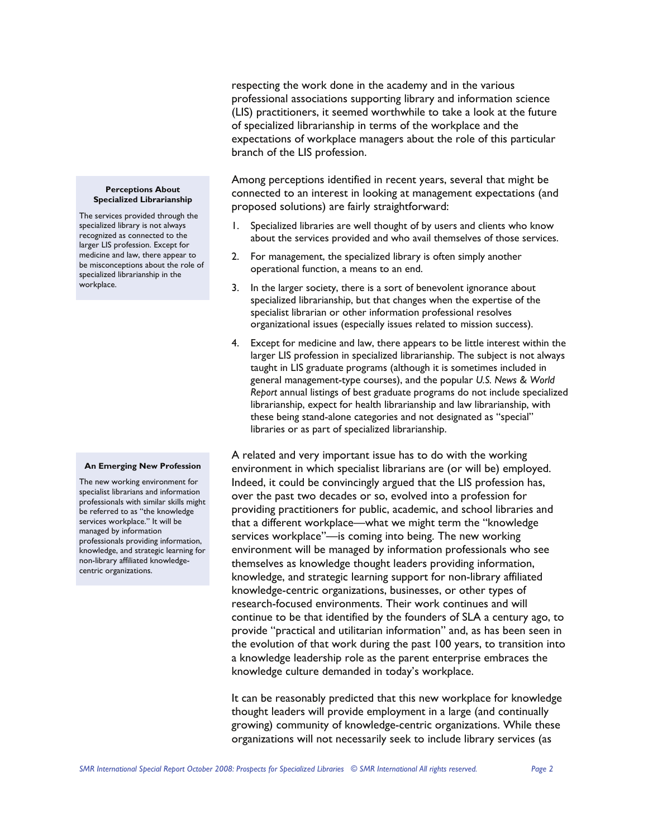respecting the work done in the academy and in the various professional associations supporting library and information science (LIS) practitioners, it seemed worthwhile to take a look at the future of specialized librarianship in terms of the workplace and the expectations of workplace managers about the role of this particular branch of the LIS profession.

Among perceptions identified in recent years, several that might be connected to an interest in looking at management expectations (and proposed solutions) are fairly straightforward:

- Specialized libraries are well thought of by users and clients who know about the services provided and who avail themselves of those services.
- 2. For management, the specialized library is often simply another operational function, a means to an end.
- 3. In the larger society, there is a sort of benevolent ignorance about specialized librarianship, but that changes when the expertise of the specialist librarian or other information professional resolves organizational issues (especially issues related to mission success).
- 4. Except for medicine and law, there appears to be little interest within the larger LIS profession in specialized librarianship. The subject is not always taught in LIS graduate programs (although it is sometimes included in general management-type courses), and the popular *U.S. News & World Report* annual listings of best graduate programs do not include specialized librarianship, expect for health librarianship and law librarianship, with these being stand-alone categories and not designated as "special" libraries or as part of specialized librarianship.

A related and very important issue has to do with the working environment in which specialist librarians are (or will be) employed. Indeed, it could be convincingly argued that the LIS profession has, over the past two decades or so, evolved into a profession for providing practitioners for public, academic, and school libraries and that a different workplace—what we might term the "knowledge services workplace"—is coming into being. The new working environment will be managed by information professionals who see themselves as knowledge thought leaders providing information, knowledge, and strategic learning support for non-library affiliated knowledge-centric organizations, businesses, or other types of research-focused environments. Their work continues and will continue to be that identified by the founders of SLA a century ago, to provide "practical and utilitarian information" and, as has been seen in the evolution of that work during the past 100 years, to transition into a knowledge leadership role as the parent enterprise embraces the knowledge culture demanded in today's workplace.

It can be reasonably predicted that this new workplace for knowledge thought leaders will provide employment in a large (and continually growing) community of knowledge-centric organizations. While these organizations will not necessarily seek to include library services (as

#### **Perceptions About Specialized Librarianship**

The services provided through the specialized library is not always recognized as connected to the larger LIS profession. Except for medicine and law, there appear to be misconceptions about the role of specialized librarianship in the workplace.

#### **An Emerging New Profession**

The new working environment for specialist librarians and information professionals with similar skills might be referred to as "the knowledge services workplace." It will be managed by information professionals providing information, knowledge, and strategic learning for non-library affiliated knowledgecentric organizations.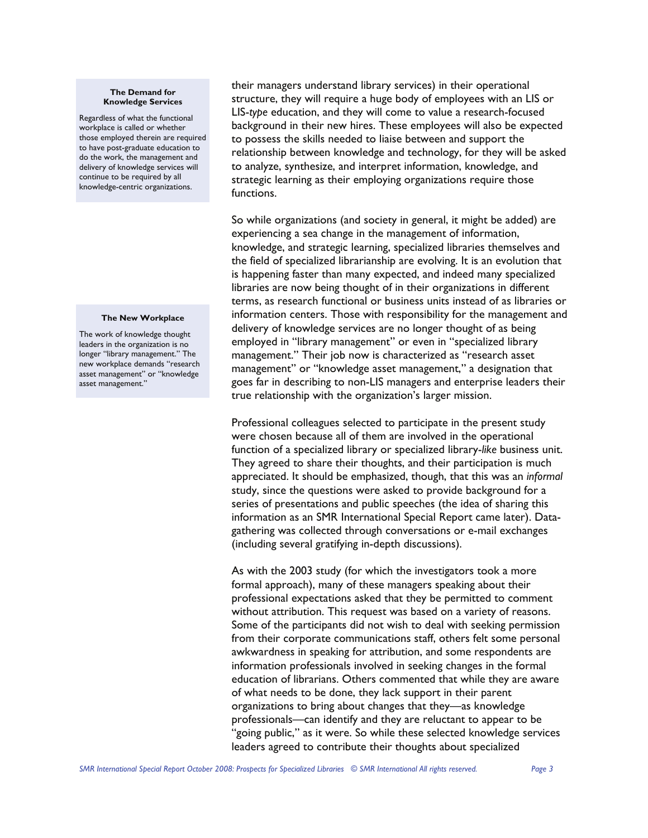#### **The Demand for Knowledge Services**

Regardless of what the functional workplace is called or whether those employed therein are required to have post-graduate education to do the work, the management and delivery of knowledge services will continue to be required by all knowledge-centric organizations.

#### **The New Workplace**

The work of knowledge thought leaders in the organization is no longer "library management." The new workplace demands "research asset management" or "knowledge asset management."

their managers understand library services) in their operational structure, they will require a huge body of employees with an LIS or LIS-*type* education, and they will come to value a research-focused background in their new hires. These employees will also be expected to possess the skills needed to liaise between and support the relationship between knowledge and technology, for they will be asked to analyze, synthesize, and interpret information, knowledge, and strategic learning as their employing organizations require those functions.

So while organizations (and society in general, it might be added) are experiencing a sea change in the management of information, knowledge, and strategic learning, specialized libraries themselves and the field of specialized librarianship are evolving. It is an evolution that is happening faster than many expected, and indeed many specialized libraries are now being thought of in their organizations in different terms, as research functional or business units instead of as libraries or information centers. Those with responsibility for the management and delivery of knowledge services are no longer thought of as being employed in "library management" or even in "specialized library management." Their job now is characterized as "research asset management" or "knowledge asset management," a designation that goes far in describing to non-LIS managers and enterprise leaders their true relationship with the organization's larger mission.

Professional colleagues selected to participate in the present study were chosen because all of them are involved in the operational function of a specialized library or specialized library-*like* business unit. They agreed to share their thoughts, and their participation is much appreciated. It should be emphasized, though, that this was an *informal* study, since the questions were asked to provide background for a series of presentations and public speeches (the idea of sharing this information as an SMR International Special Report came later). Datagathering was collected through conversations or e-mail exchanges (including several gratifying in-depth discussions).

As with the 2003 study (for which the investigators took a more formal approach), many of these managers speaking about their professional expectations asked that they be permitted to comment without attribution. This request was based on a variety of reasons. Some of the participants did not wish to deal with seeking permission from their corporate communications staff, others felt some personal awkwardness in speaking for attribution, and some respondents are information professionals involved in seeking changes in the formal education of librarians. Others commented that while they are aware of what needs to be done, they lack support in their parent organizations to bring about changes that they—as knowledge professionals—can identify and they are reluctant to appear to be "going public," as it were. So while these selected knowledge services leaders agreed to contribute their thoughts about specialized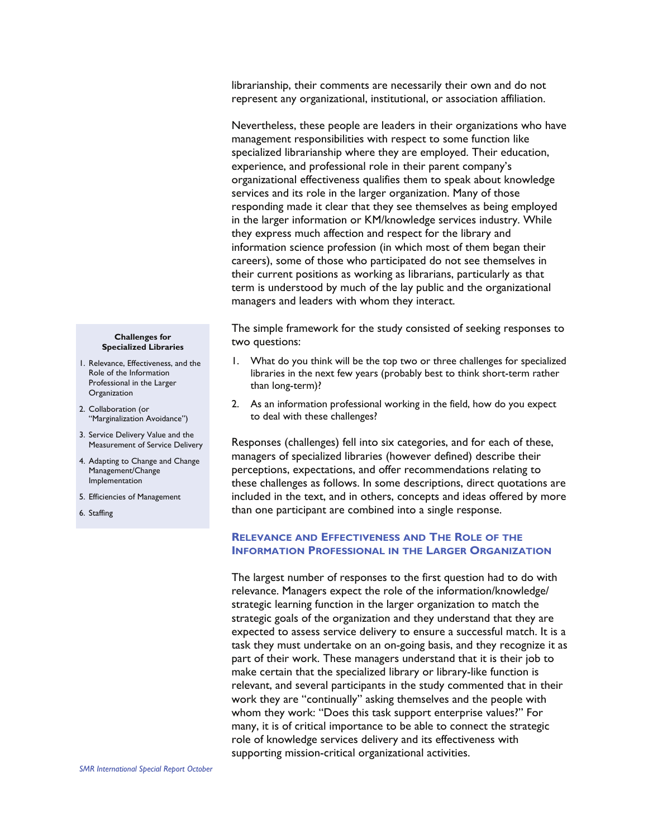librarianship, their comments are necessarily their own and do not represent any organizational, institutional, or association affiliation.

Nevertheless, these people are leaders in their organizations who have management responsibilities with respect to some function like specialized librarianship where they are employed. Their education, experience, and professional role in their parent company's organizational effectiveness qualifies them to speak about knowledge services and its role in the larger organization. Many of those responding made it clear that they see themselves as being employed in the larger information or KM/knowledge services industry. While they express much affection and respect for the library and information science profession (in which most of them began their careers), some of those who participated do not see themselves in their current positions as working as librarians, particularly as that term is understood by much of the lay public and the organizational managers and leaders with whom they interact.

The simple framework for the study consisted of seeking responses to two questions:

- 1. What do you think will be the top two or three challenges for specialized libraries in the next few years (probably best to think short-term rather than long-term)?
- 2. As an information professional working in the field, how do you expect to deal with these challenges?

Responses (challenges) fell into six categories, and for each of these, managers of specialized libraries (however defined) describe their perceptions, expectations, and offer recommendations relating to these challenges as follows. In some descriptions, direct quotations are included in the text, and in others, concepts and ideas offered by more than one participant are combined into a single response.

## **RELEVANCE AND EFFECTIVENESS AND THE ROLE OF THE INFORMATION PROFESSIONAL IN THE LARGER ORGANIZATION**

The largest number of responses to the first question had to do with relevance. Managers expect the role of the information/knowledge/ strategic learning function in the larger organization to match the strategic goals of the organization and they understand that they are expected to assess service delivery to ensure a successful match. It is a task they must undertake on an on-going basis, and they recognize it as part of their work. These managers understand that it is their job to make certain that the specialized library or library-like function is relevant, and several participants in the study commented that in their work they are "continually" asking themselves and the people with whom they work: "Does this task support enterprise values?" For many, it is of critical importance to be able to connect the strategic role of knowledge services delivery and its effectiveness with supporting mission-critical organizational activities.

#### **Challenges for Specialized Libraries**

- 1. Relevance, Effectiveness, and the Role of the Information Professional in the Larger **Organization**
- 2. Collaboration (or "Marginalization Avoidance")
- 3. Service Delivery Value and the Measurement of Service Delivery
- 4. Adapting to Change and Change Management/Change Implementation
- 5. Efficiencies of Management
- 6. Staffing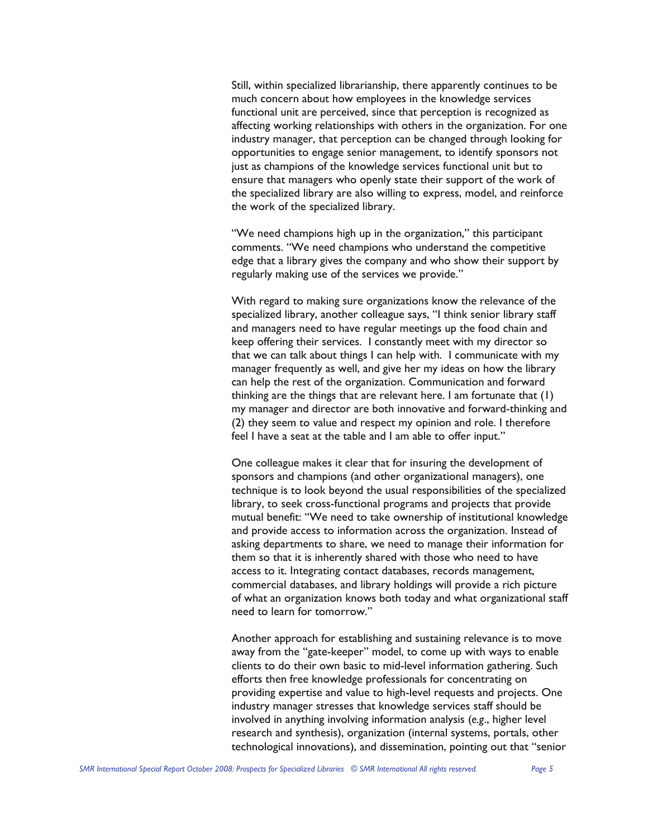Still, within specialized librarianship, there apparently continues to be much concern about how employees in the knowledge services functional unit are perceived, since that perception is recognized as affecting working relationships with others in the organization. For one industry manager, that perception can be changed through looking for opportunities to engage senior management, to identify sponsors not just as champions of the knowledge services functional unit but to ensure that managers who openly state their support of the work of the specialized library are also willing to express, model, and reinforce the work of the specialized library.

"We need champions high up in the organization," this participant comments. "We need champions who understand the competitive edge that a library gives the company and who show their support by regularly making use of the services we provide."

With regard to making sure organizations know the relevance of the specialized library, another colleague says, "I think senior library staff and managers need to have regular meetings up the food chain and keep offering their services. I constantly meet with my director so that we can talk about things I can help with. I communicate with my manager frequently as well, and give her my ideas on how the library can help the rest of the organization. Communication and forward thinking are the things that are relevant here. I am fortunate that (1) my manager and director are both innovative and forward-thinking and (2) they seem to value and respect my opinion and role. I therefore feel I have a seat at the table and I am able to offer input."

One colleague makes it clear that for insuring the development of sponsors and champions (and other organizational managers), one technique is to look beyond the usual responsibilities of the specialized library, to seek cross-functional programs and projects that provide mutual benefit: "We need to take ownership of institutional knowledge and provide access to information across the organization. Instead of asking departments to share, we need to manage their information for them so that it is inherently shared with those who need to have access to it. Integrating contact databases, records management, commercial databases, and library holdings will provide a rich picture of what an organization knows both today and what organizational staff need to learn for tomorrow."

Another approach for establishing and sustaining relevance is to move away from the "gate-keeper" model, to come up with ways to enable clients to do their own basic to mid-level information gathering. Such efforts then free knowledge professionals for concentrating on providing expertise and value to high-level requests and projects. One industry manager stresses that knowledge services staff should be involved in anything involving information analysis (*e.g*., higher level research and synthesis), organization (internal systems, portals, other technological innovations), and dissemination, pointing out that "senior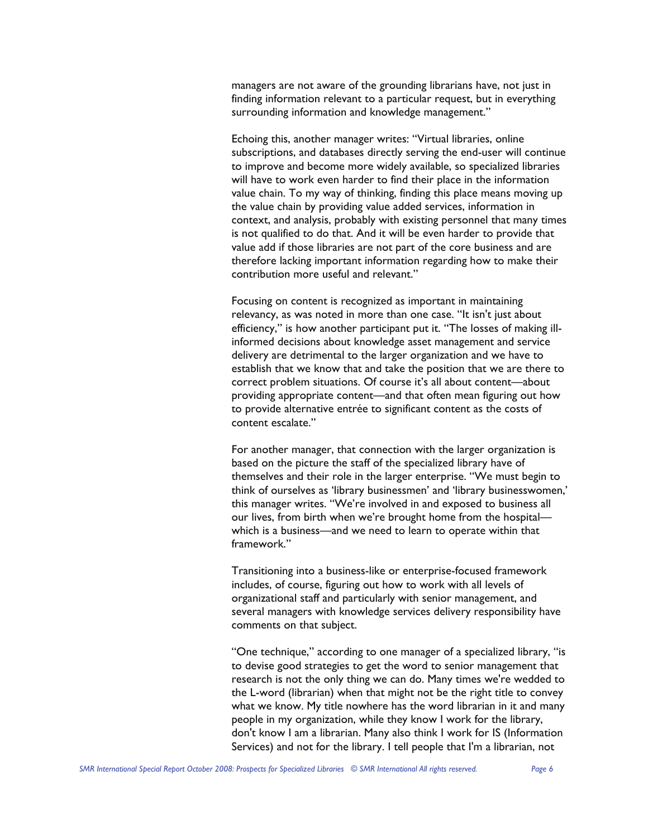managers are not aware of the grounding librarians have, not just in finding information relevant to a particular request, but in everything surrounding information and knowledge management."

Echoing this, another manager writes: "Virtual libraries, online subscriptions, and databases directly serving the end-user will continue to improve and become more widely available, so specialized libraries will have to work even harder to find their place in the information value chain. To my way of thinking, finding this place means moving up the value chain by providing value added services, information in context, and analysis, probably with existing personnel that many times is not qualified to do that. And it will be even harder to provide that value add if those libraries are not part of the core business and are therefore lacking important information regarding how to make their contribution more useful and relevant."

Focusing on content is recognized as important in maintaining relevancy, as was noted in more than one case. "It isn't just about efficiency," is how another participant put it. "The losses of making illinformed decisions about knowledge asset management and service delivery are detrimental to the larger organization and we have to establish that we know that and take the position that we are there to correct problem situations. Of course it's all about content—about providing appropriate content—and that often mean figuring out how to provide alternative entrée to significant content as the costs of content escalate."

For another manager, that connection with the larger organization is based on the picture the staff of the specialized library have of themselves and their role in the larger enterprise. "We must begin to think of ourselves as 'library businessmen' and 'library businesswomen,' this manager writes. "We're involved in and exposed to business all our lives, from birth when we're brought home from the hospital which is a business—and we need to learn to operate within that framework."

Transitioning into a business-like or enterprise-focused framework includes, of course, figuring out how to work with all levels of organizational staff and particularly with senior management, and several managers with knowledge services delivery responsibility have comments on that subject.

"One technique," according to one manager of a specialized library, "is to devise good strategies to get the word to senior management that research is not the only thing we can do. Many times we're wedded to the L-word (librarian) when that might not be the right title to convey what we know. My title nowhere has the word librarian in it and many people in my organization, while they know I work for the library, don't know I am a librarian. Many also think I work for IS (Information Services) and not for the library. I tell people that I'm a librarian, not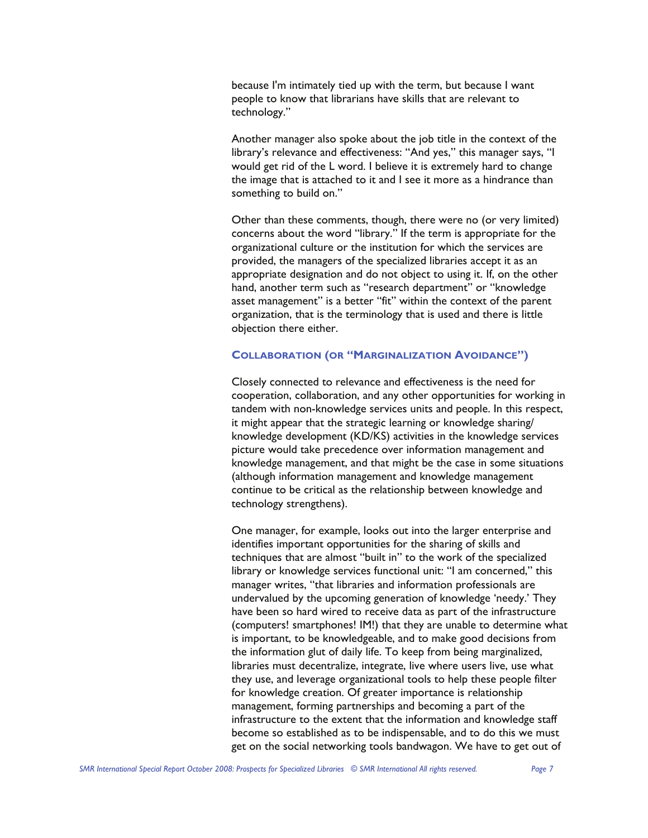because I'm intimately tied up with the term, but because I want people to know that librarians have skills that are relevant to technology."

Another manager also spoke about the job title in the context of the library's relevance and effectiveness: "And yes," this manager says, "I would get rid of the L word. I believe it is extremely hard to change the image that is attached to it and I see it more as a hindrance than something to build on."

Other than these comments, though, there were no (or very limited) concerns about the word "library." If the term is appropriate for the organizational culture or the institution for which the services are provided, the managers of the specialized libraries accept it as an appropriate designation and do not object to using it. If, on the other hand, another term such as "research department" or "knowledge asset management" is a better "fit" within the context of the parent organization, that is the terminology that is used and there is little objection there either.

# **COLLABORATION (OR "MARGINALIZATION AVOIDANCE")**

Closely connected to relevance and effectiveness is the need for cooperation, collaboration, and any other opportunities for working in tandem with non-knowledge services units and people. In this respect, it might appear that the strategic learning or knowledge sharing/ knowledge development (KD/KS) activities in the knowledge services picture would take precedence over information management and knowledge management, and that might be the case in some situations (although information management and knowledge management continue to be critical as the relationship between knowledge and technology strengthens).

One manager, for example, looks out into the larger enterprise and identifies important opportunities for the sharing of skills and techniques that are almost "built in" to the work of the specialized library or knowledge services functional unit: "I am concerned," this manager writes, "that libraries and information professionals are undervalued by the upcoming generation of knowledge 'needy.' They have been so hard wired to receive data as part of the infrastructure (computers! smartphones! IM!) that they are unable to determine what is important, to be knowledgeable, and to make good decisions from the information glut of daily life. To keep from being marginalized, libraries must decentralize, integrate, live where users live, use what they use, and leverage organizational tools to help these people filter for knowledge creation. Of greater importance is relationship management, forming partnerships and becoming a part of the infrastructure to the extent that the information and knowledge staff become so established as to be indispensable, and to do this we must get on the social networking tools bandwagon. We have to get out of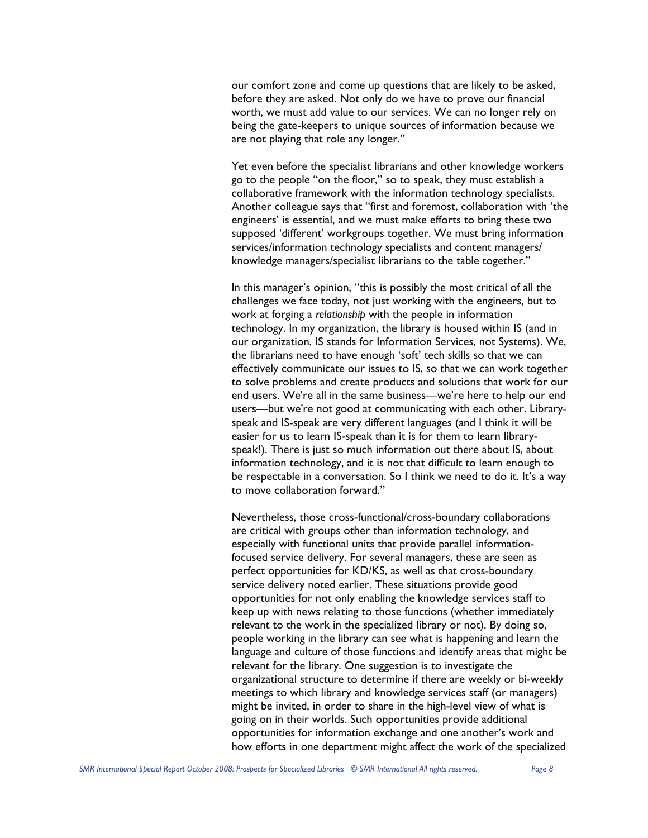our comfort zone and come up questions that are likely to be asked, before they are asked. Not only do we have to prove our financial worth, we must add value to our services. We can no longer rely on being the gate-keepers to unique sources of information because we are not playing that role any longer."

Yet even before the specialist librarians and other knowledge workers go to the people "on the floor," so to speak, they must establish a collaborative framework with the information technology specialists. Another colleague says that "first and foremost, collaboration with 'the engineers' is essential, and we must make efforts to bring these two supposed 'different' workgroups together. We must bring information services/information technology specialists and content managers/ knowledge managers/specialist librarians to the table together."

In this manager's opinion, "this is possibly the most critical of all the challenges we face today, not just working with the engineers, but to work at forging a *relationship* with the people in information technology. In my organization, the library is housed within IS (and in our organization, IS stands for Information Services, not Systems). We, the librarians need to have enough 'soft' tech skills so that we can effectively communicate our issues to IS, so that we can work together to solve problems and create products and solutions that work for our end users. We're all in the same business—we're here to help our end users—but we're not good at communicating with each other. Libraryspeak and IS-speak are very different languages (and I think it will be easier for us to learn IS-speak than it is for them to learn libraryspeak!). There is just so much information out there about IS, about information technology, and it is not that difficult to learn enough to be respectable in a conversation. So I think we need to do it. It's a way to move collaboration forward."

Nevertheless, those cross-functional/cross-boundary collaborations are critical with groups other than information technology, and especially with functional units that provide parallel informationfocused service delivery. For several managers, these are seen as perfect opportunities for KD/KS, as well as that cross-boundary service delivery noted earlier. These situations provide good opportunities for not only enabling the knowledge services staff to keep up with news relating to those functions (whether immediately relevant to the work in the specialized library or not). By doing so, people working in the library can see what is happening and learn the language and culture of those functions and identify areas that might be relevant for the library. One suggestion is to investigate the organizational structure to determine if there are weekly or bi-weekly meetings to which library and knowledge services staff (or managers) might be invited, in order to share in the high-level view of what is going on in their worlds. Such opportunities provide additional opportunities for information exchange and one another's work and how efforts in one department might affect the work of the specialized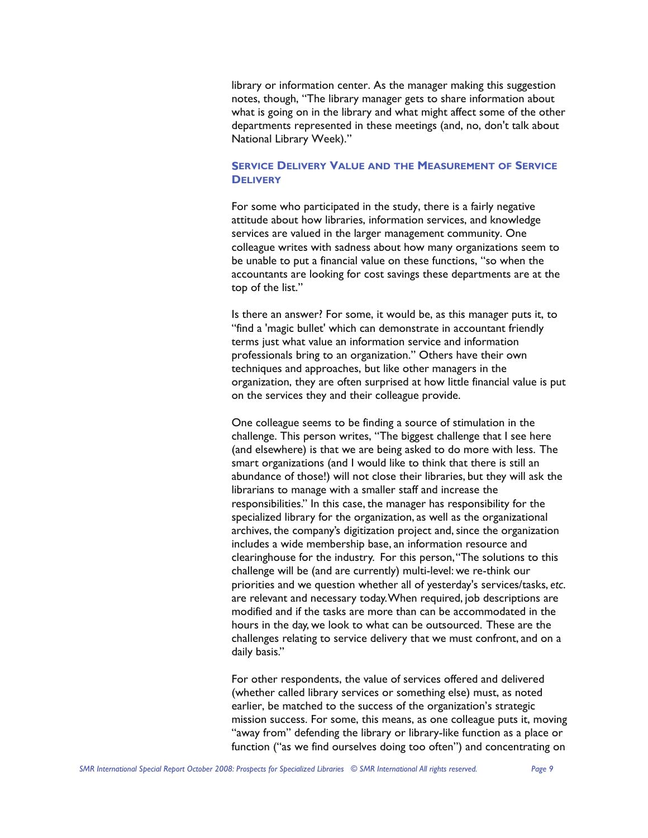library or information center. As the manager making this suggestion notes, though, "The library manager gets to share information about what is going on in the library and what might affect some of the other departments represented in these meetings (and, no, don't talk about National Library Week)."

## **SERVICE DELIVERY VALUE AND THE MEASUREMENT OF SERVICE DELIVERY**

For some who participated in the study, there is a fairly negative attitude about how libraries, information services, and knowledge services are valued in the larger management community. One colleague writes with sadness about how many organizations seem to be unable to put a financial value on these functions, "so when the accountants are looking for cost savings these departments are at the top of the list."

Is there an answer? For some, it would be, as this manager puts it, to "find a 'magic bullet' which can demonstrate in accountant friendly terms just what value an information service and information professionals bring to an organization." Others have their own techniques and approaches, but like other managers in the organization, they are often surprised at how little financial value is put on the services they and their colleague provide.

One colleague seems to be finding a source of stimulation in the challenge. This person writes, "The biggest challenge that I see here (and elsewhere) is that we are being asked to do more with less. The smart organizations (and I would like to think that there is still an abundance of those!) will not close their libraries, but they will ask the librarians to manage with a smaller staff and increase the responsibilities." In this case, the manager has responsibility for the specialized library for the organization, as well as the organizational archives, the company's digitization project and, since the organization includes a wide membership base, an information resource and clearinghouse for the industry. For this person, "The solutions to this challenge will be (and are currently) multi-level: we re-think our priorities and we question whether all of yesterday's services/tasks, *etc*. are relevant and necessary today. When required, job descriptions are modified and if the tasks are more than can be accommodated in the hours in the day, we look to what can be outsourced. These are the challenges relating to service delivery that we must confront, and on a daily basis."

For other respondents, the value of services offered and delivered (whether called library services or something else) must, as noted earlier, be matched to the success of the organization's strategic mission success. For some, this means, as one colleague puts it, moving "away from" defending the library or library-like function as a place or function ("as we find ourselves doing too often") and concentrating on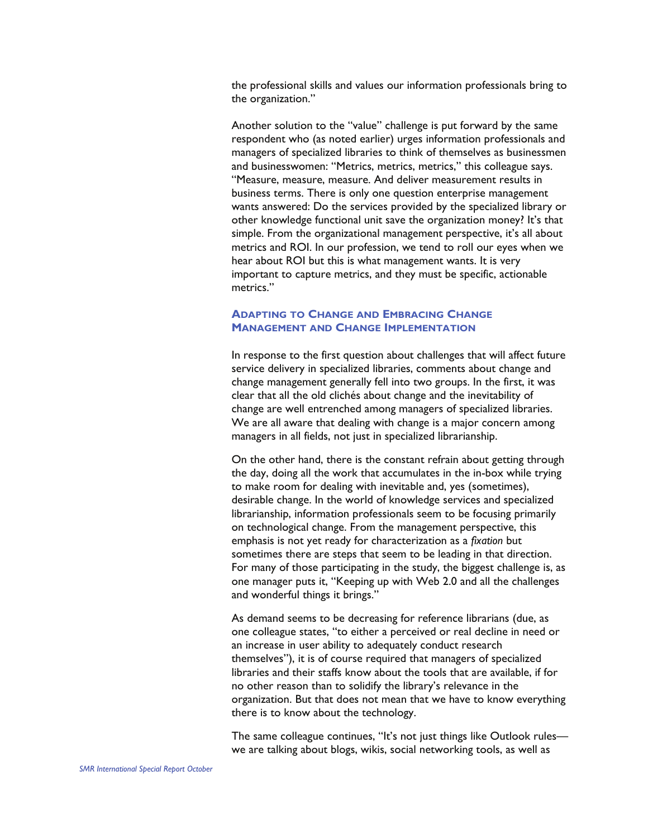the professional skills and values our information professionals bring to the organization."

Another solution to the "value" challenge is put forward by the same respondent who (as noted earlier) urges information professionals and managers of specialized libraries to think of themselves as businessmen and businesswomen: "Metrics, metrics, metrics," this colleague says. "Measure, measure, measure. And deliver measurement results in business terms. There is only one question enterprise management wants answered: Do the services provided by the specialized library or other knowledge functional unit save the organization money? It's that simple. From the organizational management perspective, it's all about metrics and ROI. In our profession, we tend to roll our eyes when we hear about ROI but this is what management wants. It is very important to capture metrics, and they must be specific, actionable metrics."

# **ADAPTING TO CHANGE AND EMBRACING CHANGE MANAGEMENT AND CHANGE IMPLEMENTATION**

In response to the first question about challenges that will affect future service delivery in specialized libraries, comments about change and change management generally fell into two groups. In the first, it was clear that all the old clichés about change and the inevitability of change are well entrenched among managers of specialized libraries. We are all aware that dealing with change is a major concern among managers in all fields, not just in specialized librarianship.

On the other hand, there is the constant refrain about getting through the day, doing all the work that accumulates in the in-box while trying to make room for dealing with inevitable and, yes (sometimes), desirable change. In the world of knowledge services and specialized librarianship, information professionals seem to be focusing primarily on technological change. From the management perspective, this emphasis is not yet ready for characterization as a *fixation* but sometimes there are steps that seem to be leading in that direction. For many of those participating in the study, the biggest challenge is, as one manager puts it, "Keeping up with Web 2.0 and all the challenges and wonderful things it brings."

As demand seems to be decreasing for reference librarians (due, as one colleague states, "to either a perceived or real decline in need or an increase in user ability to adequately conduct research themselves"), it is of course required that managers of specialized libraries and their staffs know about the tools that are available, if for no other reason than to solidify the library's relevance in the organization. But that does not mean that we have to know everything there is to know about the technology.

The same colleague continues, "It's not just things like Outlook rules we are talking about blogs, wikis, social networking tools, as well as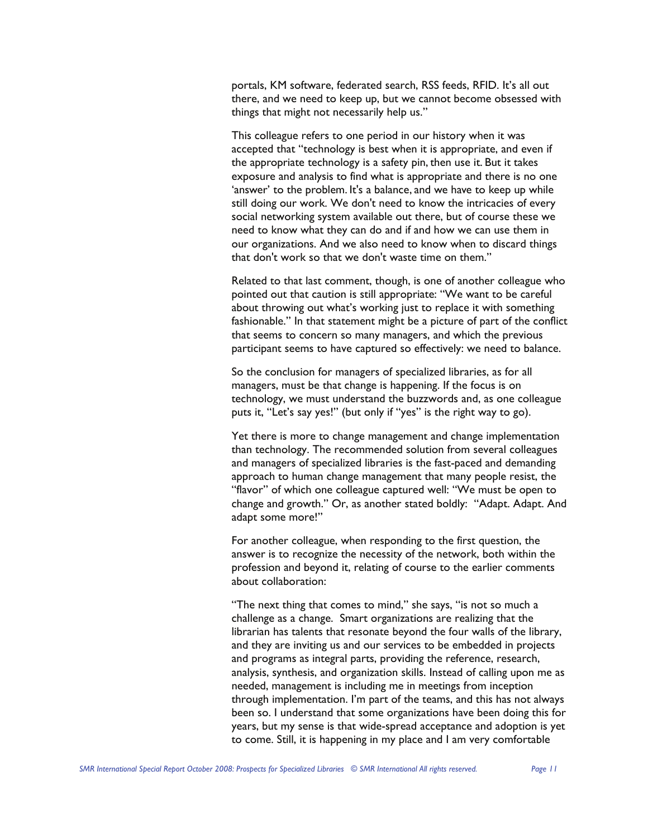portals, KM software, federated search, RSS feeds, RFID. It's all out there, and we need to keep up, but we cannot become obsessed with things that might not necessarily help us."

This colleague refers to one period in our history when it was accepted that "technology is best when it is appropriate, and even if the appropriate technology is a safety pin, then use it. But it takes exposure and analysis to find what is appropriate and there is no one 'answer' to the problem. It's a balance, and we have to keep up while still doing our work. We don't need to know the intricacies of every social networking system available out there, but of course these we need to know what they can do and if and how we can use them in our organizations. And we also need to know when to discard things that don't work so that we don't waste time on them."

Related to that last comment, though, is one of another colleague who pointed out that caution is still appropriate: "We want to be careful about throwing out what's working just to replace it with something fashionable." In that statement might be a picture of part of the conflict that seems to concern so many managers, and which the previous participant seems to have captured so effectively: we need to balance.

So the conclusion for managers of specialized libraries, as for all managers, must be that change is happening. If the focus is on technology, we must understand the buzzwords and, as one colleague puts it, "Let's say yes!" (but only if "yes" is the right way to go).

Yet there is more to change management and change implementation than technology. The recommended solution from several colleagues and managers of specialized libraries is the fast-paced and demanding approach to human change management that many people resist, the "flavor" of which one colleague captured well: "We must be open to change and growth." Or, as another stated boldly: "Adapt. Adapt. And adapt some more!"

For another colleague, when responding to the first question, the answer is to recognize the necessity of the network, both within the profession and beyond it, relating of course to the earlier comments about collaboration:

"The next thing that comes to mind," she says, "is not so much a challenge as a change. Smart organizations are realizing that the librarian has talents that resonate beyond the four walls of the library, and they are inviting us and our services to be embedded in projects and programs as integral parts, providing the reference, research, analysis, synthesis, and organization skills. Instead of calling upon me as needed, management is including me in meetings from inception through implementation. I'm part of the teams, and this has not always been so. I understand that some organizations have been doing this for years, but my sense is that wide-spread acceptance and adoption is yet to come. Still, it is happening in my place and I am very comfortable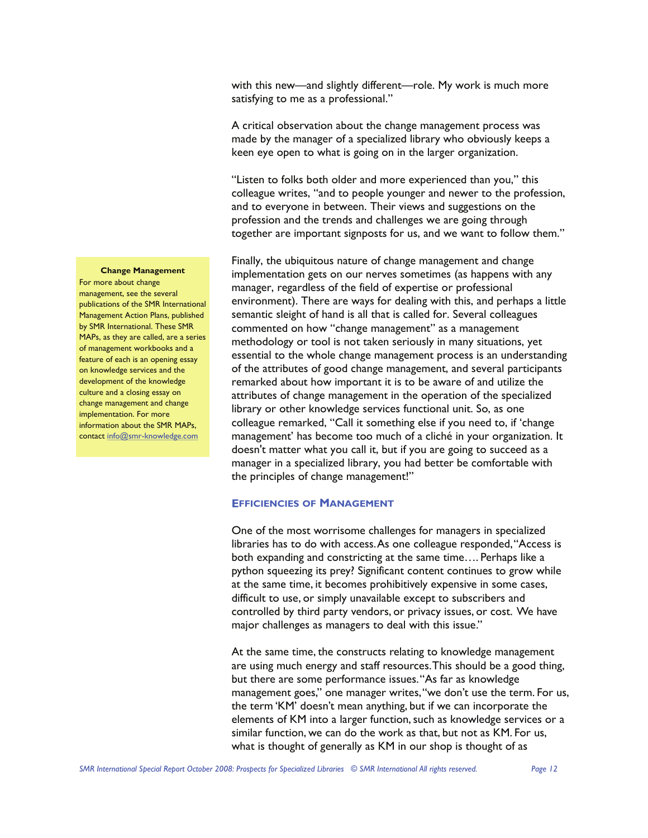with this new—and slightly different—role. My work is much more satisfying to me as a professional."

A critical observation about the change management process was made by the manager of a specialized library who obviously keeps a keen eye open to what is going on in the larger organization.

"Listen to folks both older and more experienced than you," this colleague writes, "and to people younger and newer to the profession, and to everyone in between. Their views and suggestions on the profession and the trends and challenges we are going through together are important signposts for us, and we want to follow them."

Finally, the ubiquitous nature of change management and change implementation gets on our nerves sometimes (as happens with any manager, regardless of the field of expertise or professional environment). There are ways for dealing with this, and perhaps a little semantic sleight of hand is all that is called for. Several colleagues commented on how "change management" as a management methodology or tool is not taken seriously in many situations, yet essential to the whole change management process is an understanding of the attributes of good change management, and several participants remarked about how important it is to be aware of and utilize the attributes of change management in the operation of the specialized library or other knowledge services functional unit. So, as one colleague remarked, "Call it something else if you need to, if 'change management' has become too much of a cliché in your organization. It doesn't matter what you call it, but if you are going to succeed as a manager in a specialized library, you had better be comfortable with the principles of change management!"

### **EFFICIENCIES OF MANAGEMENT**

One of the most worrisome challenges for managers in specialized libraries has to do with access. As one colleague responded, "Access is both expanding and constricting at the same time…. Perhaps like a python squeezing its prey? Significant content continues to grow while at the same time, it becomes prohibitively expensive in some cases, difficult to use, or simply unavailable except to subscribers and controlled by third party vendors, or privacy issues, or cost. We have major challenges as managers to deal with this issue."

At the same time, the constructs relating to knowledge management are using much energy and staff resources. This should be a good thing, but there are some performance issues. "As far as knowledge management goes," one manager writes, "we don't use the term. For us, the term 'KM' doesn't mean anything, but if we can incorporate the elements of KM into a larger function, such as knowledge services or a similar function, we can do the work as that, but not as KM. For us, what is thought of generally as KM in our shop is thought of as

#### **Change Management**

For more about change management, see the several publications of the SMR International Management Action Plans, published by SMR International. These SMR MAPs, as they are called, are a series of management workbooks and a feature of each is an opening essay on knowledge services and the development of the knowledge culture and a closing essay on change management and change implementation. For more information about the SMR MAPs, contact [info@smr-knowledge.com](mailto:guystclair@smr-knowledge.com)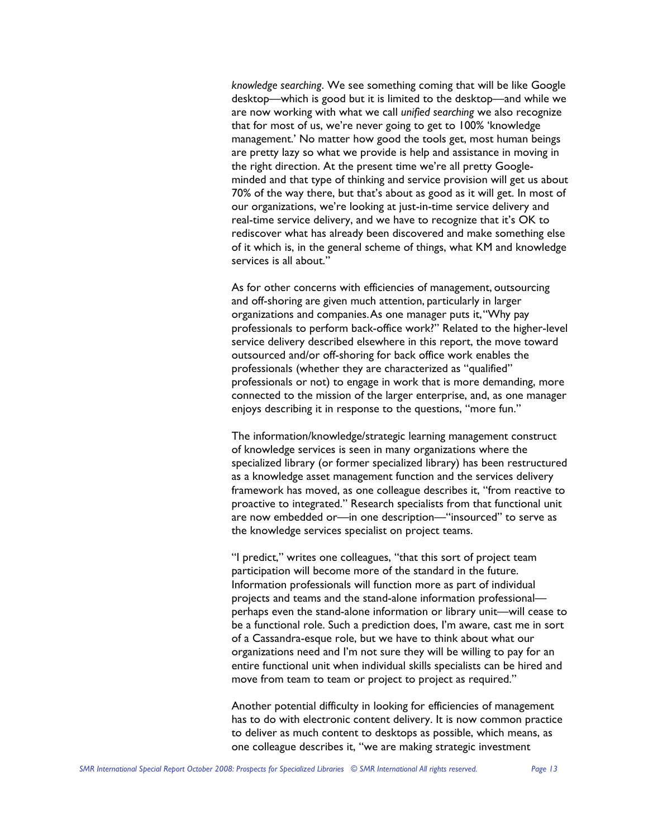*knowledge searching*. We see something coming that will be like Google desktop—which is good but it is limited to the desktop—and while we are now working with what we call *unified searching* we also recognize that for most of us, we're never going to get to 100% 'knowledge management.' No matter how good the tools get, most human beings are pretty lazy so what we provide is help and assistance in moving in the right direction. At the present time we're all pretty Googleminded and that type of thinking and service provision will get us about 70% of the way there, but that's about as good as it will get. In most of our organizations, we're looking at just-in-time service delivery and real-time service delivery, and we have to recognize that it's OK to rediscover what has already been discovered and make something else of it which is, in the general scheme of things, what KM and knowledge services is all about."

As for other concerns with efficiencies of management, outsourcing and off-shoring are given much attention, particularly in larger organizations and companies. As one manager puts it, "Why pay professionals to perform back-office work?" Related to the higher-level service delivery described elsewhere in this report, the move toward outsourced and/or off-shoring for back office work enables the professionals (whether they are characterized as "qualified" professionals or not) to engage in work that is more demanding, more connected to the mission of the larger enterprise, and, as one manager enjoys describing it in response to the questions, "more fun."

The information/knowledge/strategic learning management construct of knowledge services is seen in many organizations where the specialized library (or former specialized library) has been restructured as a knowledge asset management function and the services delivery framework has moved, as one colleague describes it, "from reactive to proactive to integrated." Research specialists from that functional unit are now embedded or—in one description—"insourced" to serve as the knowledge services specialist on project teams.

"I predict," writes one colleagues, "that this sort of project team participation will become more of the standard in the future. Information professionals will function more as part of individual projects and teams and the stand-alone information professional perhaps even the stand-alone information or library unit—will cease to be a functional role. Such a prediction does, I'm aware, cast me in sort of a Cassandra-esque role, but we have to think about what our organizations need and I'm not sure they will be willing to pay for an entire functional unit when individual skills specialists can be hired and move from team to team or project to project as required."

Another potential difficulty in looking for efficiencies of management has to do with electronic content delivery. It is now common practice to deliver as much content to desktops as possible, which means, as one colleague describes it, "we are making strategic investment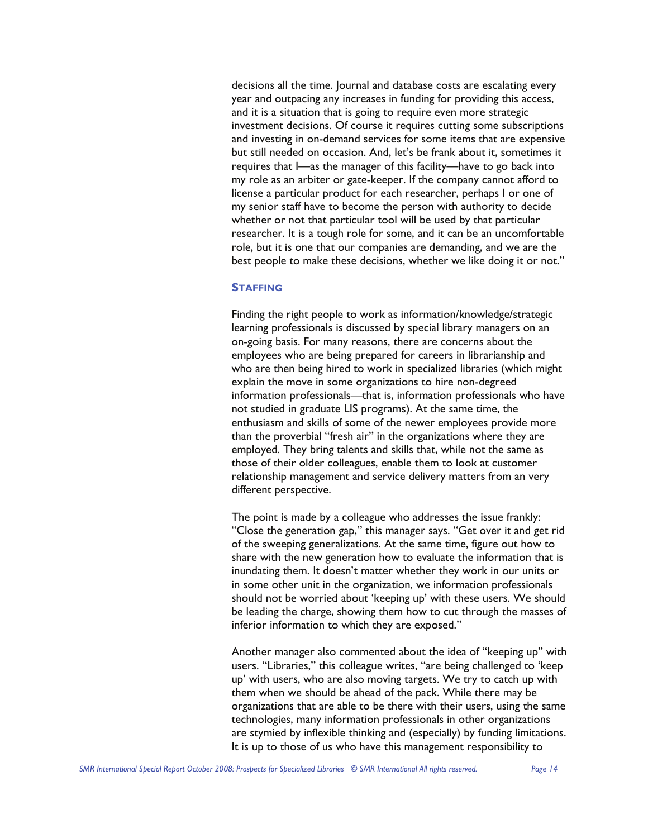decisions all the time. Journal and database costs are escalating every year and outpacing any increases in funding for providing this access, and it is a situation that is going to require even more strategic investment decisions. Of course it requires cutting some subscriptions and investing in on-demand services for some items that are expensive but still needed on occasion. And, let's be frank about it, sometimes it requires that I—as the manager of this facility—have to go back into my role as an arbiter or gate-keeper. If the company cannot afford to license a particular product for each researcher, perhaps I or one of my senior staff have to become the person with authority to decide whether or not that particular tool will be used by that particular researcher. It is a tough role for some, and it can be an uncomfortable role, but it is one that our companies are demanding, and we are the best people to make these decisions, whether we like doing it or not."

### **STAFFING**

Finding the right people to work as information/knowledge/strategic learning professionals is discussed by special library managers on an on-going basis. For many reasons, there are concerns about the employees who are being prepared for careers in librarianship and who are then being hired to work in specialized libraries (which might explain the move in some organizations to hire non-degreed information professionals—that is, information professionals who have not studied in graduate LIS programs). At the same time, the enthusiasm and skills of some of the newer employees provide more than the proverbial "fresh air" in the organizations where they are employed. They bring talents and skills that, while not the same as those of their older colleagues, enable them to look at customer relationship management and service delivery matters from an very different perspective.

The point is made by a colleague who addresses the issue frankly: "Close the generation gap," this manager says. "Get over it and get rid of the sweeping generalizations. At the same time, figure out how to share with the new generation how to evaluate the information that is inundating them. It doesn't matter whether they work in our units or in some other unit in the organization, we information professionals should not be worried about 'keeping up' with these users. We should be leading the charge, showing them how to cut through the masses of inferior information to which they are exposed."

Another manager also commented about the idea of "keeping up" with users. "Libraries," this colleague writes, "are being challenged to 'keep up' with users, who are also moving targets. We try to catch up with them when we should be ahead of the pack. While there may be organizations that are able to be there with their users, using the same technologies, many information professionals in other organizations are stymied by inflexible thinking and (especially) by funding limitations. It is up to those of us who have this management responsibility to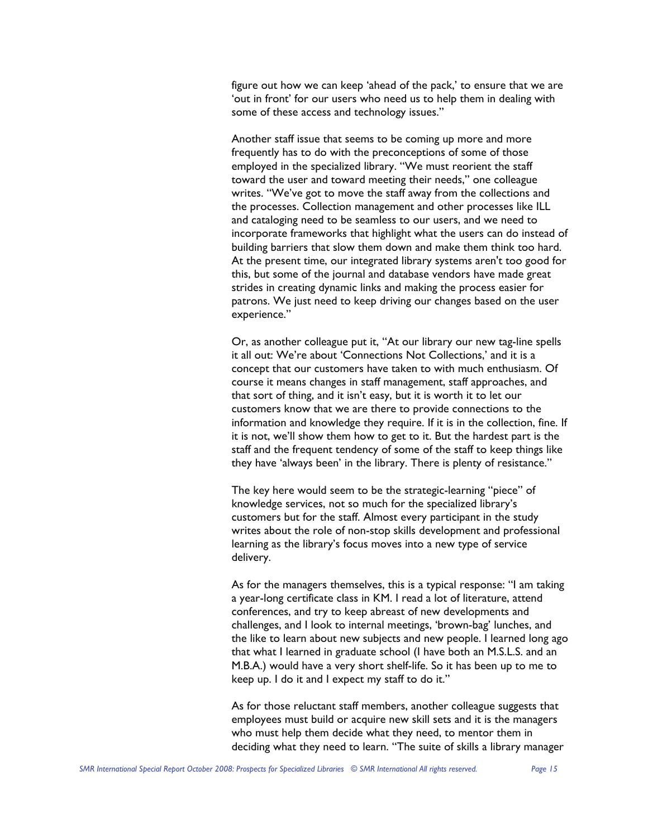figure out how we can keep 'ahead of the pack,' to ensure that we are 'out in front' for our users who need us to help them in dealing with some of these access and technology issues."

Another staff issue that seems to be coming up more and more frequently has to do with the preconceptions of some of those employed in the specialized library. "We must reorient the staff toward the user and toward meeting their needs," one colleague writes. "We've got to move the staff away from the collections and the processes. Collection management and other processes like ILL and cataloging need to be seamless to our users, and we need to incorporate frameworks that highlight what the users can do instead of building barriers that slow them down and make them think too hard. At the present time, our integrated library systems aren't too good for this, but some of the journal and database vendors have made great strides in creating dynamic links and making the process easier for patrons. We just need to keep driving our changes based on the user experience."

Or, as another colleague put it, "At our library our new tag-line spells it all out: We're about 'Connections Not Collections,' and it is a concept that our customers have taken to with much enthusiasm. Of course it means changes in staff management, staff approaches, and that sort of thing, and it isn't easy, but it is worth it to let our customers know that we are there to provide connections to the information and knowledge they require. If it is in the collection, fine. If it is not, we'll show them how to get to it. But the hardest part is the staff and the frequent tendency of some of the staff to keep things like they have 'always been' in the library. There is plenty of resistance."

The key here would seem to be the strategic-learning "piece" of knowledge services, not so much for the specialized library's customers but for the staff. Almost every participant in the study writes about the role of non-stop skills development and professional learning as the library's focus moves into a new type of service delivery.

As for the managers themselves, this is a typical response: "I am taking a year-long certificate class in KM. I read a lot of literature, attend conferences, and try to keep abreast of new developments and challenges, and I look to internal meetings, 'brown-bag' lunches, and the like to learn about new subjects and new people. I learned long ago that what I learned in graduate school (I have both an M.S.L.S. and an M.B.A.) would have a very short shelf-life. So it has been up to me to keep up. I do it and I expect my staff to do it."

As for those reluctant staff members, another colleague suggests that employees must build or acquire new skill sets and it is the managers who must help them decide what they need, to mentor them in deciding what they need to learn. "The suite of skills a library manager